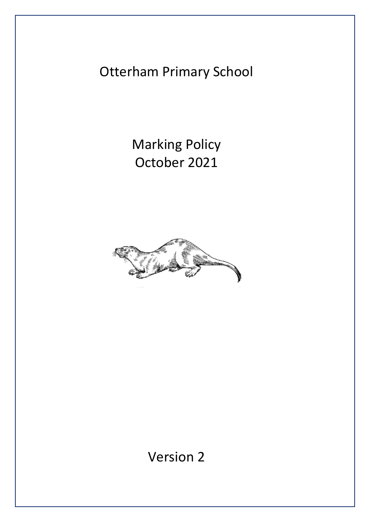Otterham Primary School

Marking Policy October 2021



Version 2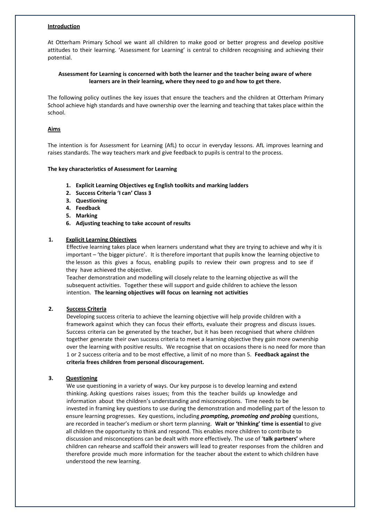## **Introduction**

At Otterham Primary School we want all children to make good or better progress and develop positive attitudes to their learning. 'Assessment for Learning' is central to children recognising and achieving their potential.

# **Assessment for Learning is concerned with both the learner and the teacher being aware of where learners are in their learning, where they need to go and how to get there.**

The following policy outlines the key issues that ensure the teachers and the children at Otterham Primary School achieve high standards and have ownership over the learning and teaching that takes place within the school.

# **Aims**

The intention is for Assessment for Learning (AfL) to occur in everyday lessons. AfL improves learning and raises standards. The way teachers mark and give feedback to pupils is central to the process.

## **The key characteristics of Assessment for Learning**

- **1. Explicit Learning Objectives eg English toolkits and marking ladders**
- **2. Success Criteria 'I can' Class 3**
- **3. Questioning**
- **4. Feedback**
- **5. Marking**
- **6. Adjusting teaching to take account of results**

## **1. Explicit Learning Objectives**

Effective learning takes place when learners understand what they are trying to achieve and why it is important – 'the bigger picture'. It is therefore important that pupils know the learning objective to the lesson as this gives a focus, enabling pupils to review their own progress and to see if they have achieved the objective.

Teacher demonstration and modelling will closely relate to the learning objective as will the subsequent activities. Together these will support and guide children to achieve the lesson intention. **The learning objectives will focus on learning not activities**

## **2. Success Criteria**

Developing success criteria to achieve the learning objective will help provide children with a framework against which they can focus their efforts, evaluate their progress and discuss issues. Success criteria can be generated by the teacher, but it has been recognised that where children together generate their own success criteria to meet a learning objective they gain more ownership over the learning with positive results. We recognise that on occasions there is no need for more than 1 or 2 success criteria and to be most effective, a limit of no more than 5. **Feedback against the criteria frees children from personal discouragement.**

## **3. Questioning**

We use questioning in a variety of ways. Our key purpose is to develop learning and extend thinking. Asking questions raises issues; from this the teacher builds up knowledge and information about the children's understanding and misconceptions. Time needs to be invested in framing key questions to use during the demonstration and modelling part of the lesson to ensure learning progresses. Key questions, including *prompting, promoting and probing* questions, are recorded in teacher's medium or short term planning. **Wait or 'thinking' time is essential** to give all children the opportunity to think and respond. This enables more children to contribute to discussion and misconceptions can be dealt with more effectively. The use of '**talk partners'** where children can rehearse and scaffold their answers will lead to greater responses from the children and therefore provide much more information for the teacher about the extent to which children have understood the new learning.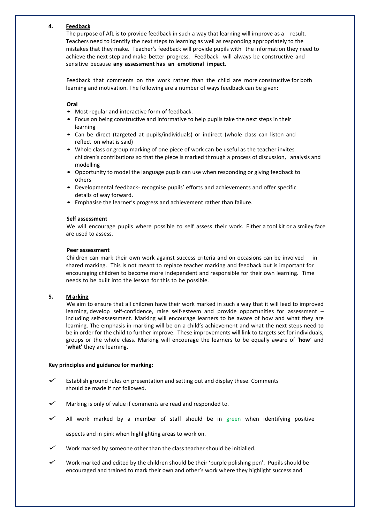## **4. Feedback**

The purpose of AfL is to provide feedback in such a way that learning will improve as a result. Teachers need to identify the next steps to learning as well as responding appropriately to the mistakes that they make. Teacher's feedback will provide pupils with the information they need to achieve the next step and make better progress. Feedback will always be constructive and sensitive because **any assessment has an emotional impact**.

Feedback that comments on the work rather than the child are more constructive for both learning and motivation. The following are a number of ways feedback can be given:

### **Oral**

- Most regular and interactive form of feedback.
- Focus on being constructive and informative to help pupils take the next steps in their learning
- Can be direct (targeted at pupils/individuals) or indirect (whole class can listen and reflect on what is said)
- Whole class or group marking of one piece of work can be useful as the teacher invites children's contributions so that the piece is marked through a process of discussion, analysis and modelling
- Opportunity to model the language pupils can use when responding or giving feedback to others
- Developmental feedback- recognise pupils' efforts and achievements and offer specific details of way forward.
- Emphasise the learner's progress and achievement rather than failure.

### **Self assessment**

We will encourage pupils where possible to self assess their work. Either a tool kit or a smiley face are used to assess.

#### **Peer assessment**

Children can mark their own work against success criteria and on occasions can be involved in shared marking. This is not meant to replace teacher marking and feedback but is important for encouraging children to become more independent and responsible for their own learning. Time needs to be built into the lesson for this to be possible.

## **5. Marking**

We aim to ensure that all children have their work marked in such a way that it will lead to improved learning, develop self-confidence, raise self-esteem and provide opportunities for assessment – including self-assessment. Marking will encourage learners to be aware of how and what they are learning. The emphasis in marking will be on a child's achievement and what the next steps need to be in order for the child to further improve. These improvements will link to targets set for individuals, groups or the whole class. Marking will encourage the learners to be equally aware of '**how**' and '**what'** they are learning.

#### **Key principles and guidance for marking:**

- Establish ground rules on presentation and setting out and display these. Comments should be made if not followed.
- Marking is only of value if comments are read and responded to.
- All work marked by a member of staff should be in green when identifying positive

aspects and in pink when highlighting areas to work on.

- Work marked by someone other than the class teacher should be initialled.
- Work marked and edited by the children should be their 'purple polishing pen'. Pupils should be encouraged and trained to mark their own and other's work where they highlight success and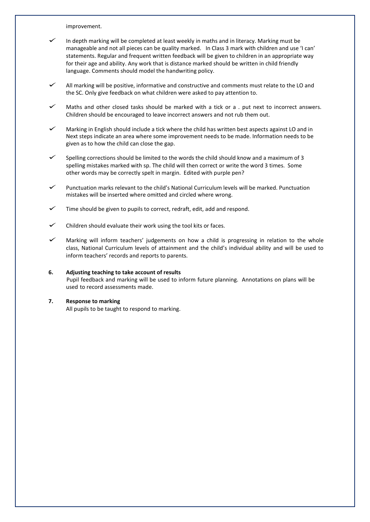improvement.

- In depth marking will be completed at least weekly in maths and in literacy. Marking must be manageable and not all pieces can be quality marked. In Class 3 mark with children and use 'I can' statements. Regular and frequent written feedback will be given to children in an appropriate way for their age and ability. Any work that is distance marked should be written in child friendly language. Comments should model the handwriting policy.
- All marking will be positive, informative and constructive and comments must relate to the LO and the SC. Only give feedback on what children were asked to pay attention to.
- Maths and other closed tasks should be marked with a tick or a . put next to incorrect answers. Children should be encouraged to leave incorrect answers and not rub them out.
- Marking in English should include a tick where the child has written best aspects against LO and in Next steps indicate an area where some improvement needs to be made. Information needs to be given as to how the child can close the gap.
- Spelling corrections should be limited to the words the child should know and a maximum of 3 spelling mistakes marked with sp. The child will then correct or write the word 3 times. Some other words may be correctly spelt in margin. Edited with purple pen?
- Punctuation marks relevant to the child's National Curriculum levels will be marked. Punctuation mistakes will be inserted where omitted and circled where wrong.
- Time should be given to pupils to correct, redraft, edit, add and respond.
- Children should evaluate their work using the tool kits or faces.
- Marking will inform teachers' judgements on how <sup>a</sup> child is progressing in relation to the whole class, National Curriculum levels of attainment and the child's individual ability and will be used to inform teachers' records and reports to parents.
- **6. Adjusting teaching to take account of results** Pupil feedback and marking will be used to inform future planning. Annotations on plans will be used to record assessments made.

### **7. Response to marking** All pupils to be taught to respond to marking.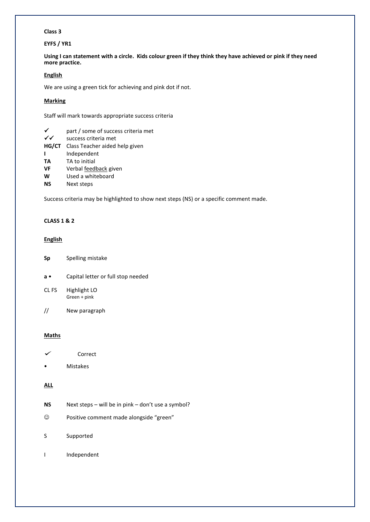# **Class 3**

# **EYFS / YR1**

**Using I can statement with a circle. Kids colour green if they think they have achieved or pink if they need more practice.**

### **English**

We are using a green tick for achieving and pink dot if not.

### **Marking**

Staff will mark towards appropriate success criteria

- $\checkmark$  part / some of success criteria met<br> $\checkmark\checkmark$  success criteria met
- success criteria met
- **HG/CT** Class Teacher aided help given
- **I** Independent
- **TA** TA to initial
- **VF** Verbal feedback given
- **W** Used a whiteboard
- **NS** Next steps

Success criteria may be highlighted to show next steps (NS) or a specific comment made.

## **CLASS 1 & 2**

# **English**

- **Sp** Spelling mistake
- **a** Capital letter or full stop needed
- CL FS Highlight LO Green + pink
- // New paragraph

## **Maths**

- Correct
- Mistakes

# **ALL**

- **NS** Next steps will be in pink don't use a symbol?
- Positive comment made alongside "green"
- S Supported
- I Independent